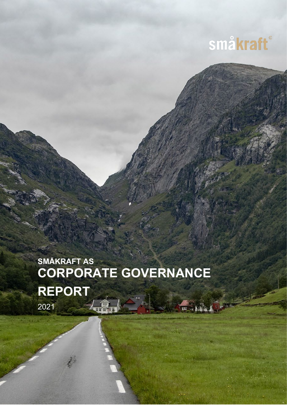

# **SMÅKRAFT AS CORPORATE GOVERNANCE REPORT** 2021 $\sqrt{2}$ **UU**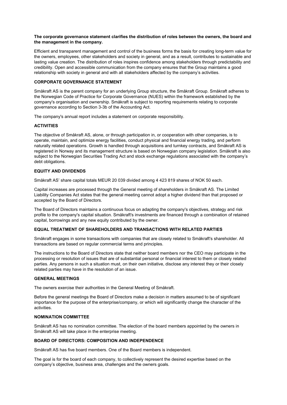## **The corporate governance statement clarifies the distribution of roles between the owners, the board and the management in the company.**

Efficient and transparent management and control of the business forms the basis for creating long-term value for the owners, employees, other stakeholders and society in general, and as a result, contributes to sustainable and lasting value creation. The distribution of roles inspires confidence among stakeholders through predictability and credibility. Open and accessible communication from the company ensures that the Group maintains a good relationship with society in general and with all stakeholders affected by the company's activities.

## **CORPORATE GOVERNANCE STATEMENT**

Småkraft AS is the parent company for an underlying Group structure, the Småkraft Group. Småkraft adheres to the Norwegian Code of Practice for Corporate Governance (NUES) within the framework established by the company's organisation and ownership. Småkraft is subject to reporting requirements relating to corporate governance according to Section 3-3b of the Accounting Act.

The company's annual report includes a statement on corporate responsibility.

# **ACTIVITIES**

The objective of Småkraft AS, alone, or through participation in, or cooperation with other companies, is to operate, maintain, and optimize energy facilities, conduct physical and financial energy trading, and perform naturally related operations. Growth is handled through acquisitions and turnkey contracts, and Småkraft AS is registered in Norway and its management structure is based on Norwegian company legislation. Småkraft is also subject to the Norwegian Securities Trading Act and stock exchange regulations associated with the company's debt obligations.

# **EQUITY AND DIVIDENDS**

Småkraft AS' share capital totals MEUR 20 039 divided among 4 423 819 shares of NOK 50 each.

Capital increases are processed through the General meeting of shareholders in Småkraft AS. The Limited Liability Companies Act states that the general meeting cannot adopt a higher dividend than that proposed or accepted by the Board of Directors.

The Board of Directors maintains a continuous focus on adapting the company's objectives, strategy and risk profile to the company's capital situation. Småkraft's investments are financed through a combination of retained capital, borrowings and any new equity contributed by the owner.

## **EQUAL TREATMENT OF SHAREHOLDERS AND TRANSACTIONS WITH RELATED PARTIES**

Småkraft engages in some transactions with companies that are closely related to Småkraft's shareholder. All transactions are based on regular commercial terms and principles.

The instructions to the Board of Directors state that neither board members nor the CEO may participate in the processing or resolution of issues that are of substantial personal or financial interest to them or closely related parties. Any persons in such a situation must, on their own initiative, disclose any interest they or their closely related parties may have in the resolution of an issue.

#### **GENERAL MEETINGS**

The owners exercise their authorities in the General Meeting of Småkraft.

Before the general meetings the Board of Directors make a decision in matters assumed to be of significant importance for the purpose of the enterprise/company, or which will significantly change the character of the activities.

## **NOMINATION COMMITTEE**

Småkraft AS has no nomination committee. The election of the board members appointed by the owners in Småkraft AS will take place in the enterprise meeting.

## **BOARD OF DIRECTORS: COMPOSITION AND INDEPENDENCE**

Småkraft AS has five board members. One of the Board members is independent.

The goal is for the board of each company, to collectively represent the desired expertise based on the company's objective, business area, challenges and the owners goals.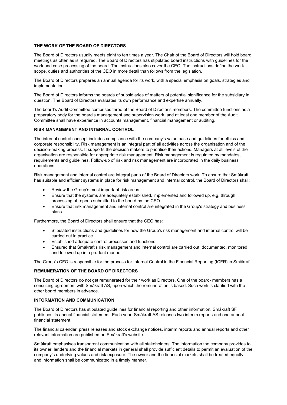## **THE WORK OF THE BOARD OF DIRECTORS**

The Board of Directors usually meets eight to ten times a year. The Chair of the Board of Directors will hold board meetings as often as is required. The Board of Directors has stipulated board instructions with guidelines for the work and case processing of the board. The instructions also cover the CEO. The instructions define the work scope, duties and authorities of the CEO in more detail than follows from the legislation.

The Board of Directors prepares an annual agenda for its work, with a special emphasis on goals, strategies and implementation.

The Board of Directors informs the boards of subsidiaries of matters of potential significance for the subsidiary in question. The Board of Directors evaluates its own performance and expertise annually.

The board's Audit Committee comprises three of the Board of Director's members. The committee functions as a preparatory body for the board's management and supervision work, and at least one member of the Audit Committee shall have experience in accounts management, financial management or auditing.

#### **RISK MANAGEMENT AND INTERNAL CONTROL**

The internal control concept includes compliance with the company's value base and guidelines for ethics and corporate responsibility. Risk management is an integral part of all activities across the organisation and of the decision-making process. It supports the decision makers to prioritise their actions. Managers at all levels of the organisation are responsible for appropriate risk management. Risk management is regulated by mandates, requirements and guidelines. Follow-up of risk and risk management are incorporated in the daily business operations.

Risk management and internal control are integral parts of the Board of Directors work. To ensure that Småkraft has suitable and efficient systems in place for risk management and internal control, the Board of Directors shall:

- Review the Group's most important risk areas
- Ensure that the systems are adequately established, implemented and followed up, e.g. through processing of reports submitted to the board by the CEO
- Ensure that risk management and internal control are integrated in the Group's strategy and business plans

Furthermore, the Board of Directors shall ensure that the CEO has:

- Stipulated instructions and guidelines for how the Group's risk management and internal control will be carried out in practice
- Established adequate control processes and functions
- Ensured that Småkraft's risk management and internal control are carried out, documented, monitored and followed up in a prudent manner

The Group's CFO is responsible for the process for Internal Control in the Financial Reporting (ICFR) in Småkraft.

#### **REMUNERATION OF THE BOARD OF DIRECTORS**

The Board of Directors do not get remunerated for their work as Directors. One of the board- members has a consulting agreement with Småkraft AS, upon which the remuneration is based. Such work is clarified with the other board members in advance.

#### **INFORMATION AND COMMUNICATION**

The Board of Directors has stipulated guidelines for financial reporting and other information. Småkraft SF publishes its annual financial statement. Each year, Småkraft AS releases two interim reports and one annual financial statement.

The financial calendar, press releases and stock exchange notices, interim reports and annual reports and other relevant information are published on Småkraft's website.

Småkraft emphasises transparent communication with all stakeholders. The information the company provides to its owner, lenders and the financial markets in general shall provide sufficient details to permit an evaluation of the company's underlying values and risk exposure. The owner and the financial markets shall be treated equally, and information shall be communicated in a timely manner.